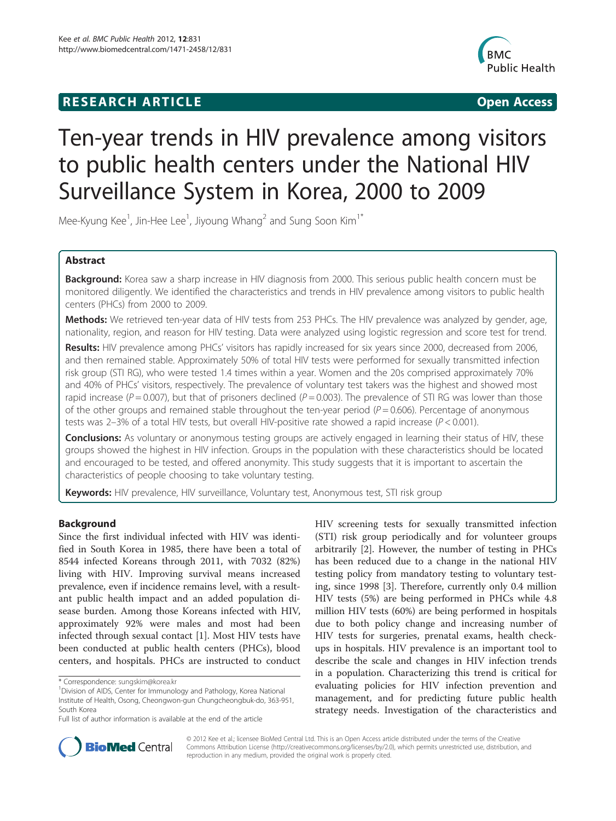# **RESEARCH ARTICLE Example 2018 12:00 Open Access**



# Ten-year trends in HIV prevalence among visitors to public health centers under the National HIV Surveillance System in Korea, 2000 to 2009

Mee-Kyung Kee<sup>1</sup>, Jin-Hee Lee<sup>1</sup>, Jiyoung Whang<sup>2</sup> and Sung Soon Kim<sup>1\*</sup>

# Abstract

Background: Korea saw a sharp increase in HIV diagnosis from 2000. This serious public health concern must be monitored diligently. We identified the characteristics and trends in HIV prevalence among visitors to public health centers (PHCs) from 2000 to 2009.

Methods: We retrieved ten-year data of HIV tests from 253 PHCs. The HIV prevalence was analyzed by gender, age, nationality, region, and reason for HIV testing. Data were analyzed using logistic regression and score test for trend.

Results: HIV prevalence among PHCs' visitors has rapidly increased for six years since 2000, decreased from 2006, and then remained stable. Approximately 50% of total HIV tests were performed for sexually transmitted infection risk group (STI RG), who were tested 1.4 times within a year. Women and the 20s comprised approximately 70% and 40% of PHCs' visitors, respectively. The prevalence of voluntary test takers was the highest and showed most rapid increase ( $P = 0.007$ ), but that of prisoners declined ( $P = 0.003$ ). The prevalence of STI RG was lower than those of the other groups and remained stable throughout the ten-year period ( $P = 0.606$ ). Percentage of anonymous tests was 2–3% of a total HIV tests, but overall HIV-positive rate showed a rapid increase ( $P < 0.001$ ).

**Conclusions:** As voluntary or anonymous testing groups are actively engaged in learning their status of HIV, these groups showed the highest in HIV infection. Groups in the population with these characteristics should be located and encouraged to be tested, and offered anonymity. This study suggests that it is important to ascertain the characteristics of people choosing to take voluntary testing.

Keywords: HIV prevalence, HIV surveillance, Voluntary test, Anonymous test, STI risk group

# Background

Since the first individual infected with HIV was identified in South Korea in 1985, there have been a total of 8544 infected Koreans through 2011, with 7032 (82%) living with HIV. Improving survival means increased prevalence, even if incidence remains level, with a resultant public health impact and an added population disease burden. Among those Koreans infected with HIV, approximately 92% were males and most had been infected through sexual contact [\[1](#page-8-0)]. Most HIV tests have been conducted at public health centers (PHCs), blood centers, and hospitals. PHCs are instructed to conduct

HIV screening tests for sexually transmitted infection (STI) risk group periodically and for volunteer groups arbitrarily [[2\]](#page-8-0). However, the number of testing in PHCs has been reduced due to a change in the national HIV testing policy from mandatory testing to voluntary testing, since 1998 [\[3](#page-8-0)]. Therefore, currently only 0.4 million HIV tests (5%) are being performed in PHCs while 4.8 million HIV tests (60%) are being performed in hospitals due to both policy change and increasing number of HIV tests for surgeries, prenatal exams, health checkups in hospitals. HIV prevalence is an important tool to describe the scale and changes in HIV infection trends in a population. Characterizing this trend is critical for evaluating policies for HIV infection prevention and management, and for predicting future public health strategy needs. Investigation of the characteristics and



© 2012 Kee et al.; licensee BioMed Central Ltd. This is an Open Access article distributed under the terms of the Creative Commons Attribution License [\(http://creativecommons.org/licenses/by/2.0\)](http://creativecommons.org/licenses/by/2.0), which permits unrestricted use, distribution, and reproduction in any medium, provided the original work is properly cited.

<sup>\*</sup> Correspondence: [sungskim@korea.kr](mailto:sungskim@korea.kr) <sup>1</sup>

<sup>&</sup>lt;sup>1</sup> Division of AIDS, Center for Immunology and Pathology, Korea National Institute of Health, Osong, Cheongwon-gun Chungcheongbuk-do, 363-951, South Korea

Full list of author information is available at the end of the article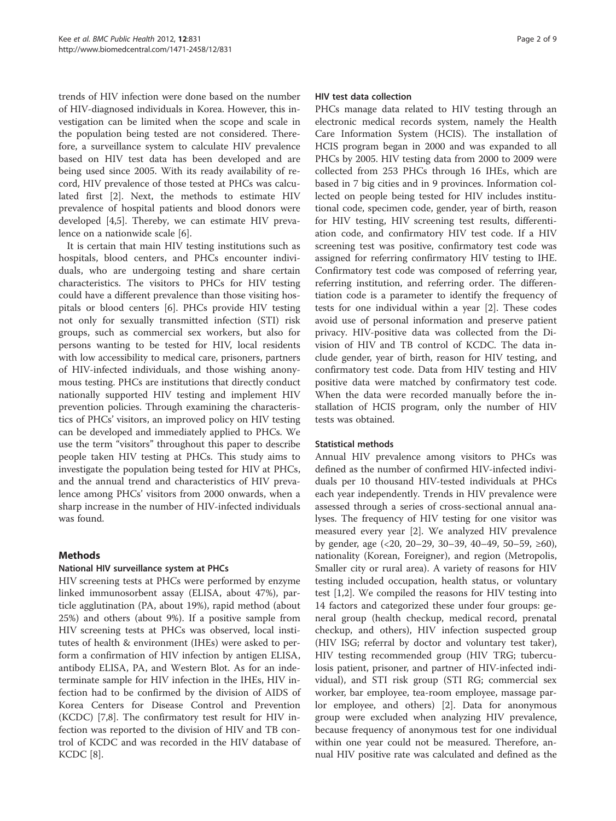trends of HIV infection were done based on the number of HIV-diagnosed individuals in Korea. However, this investigation can be limited when the scope and scale in the population being tested are not considered. Therefore, a surveillance system to calculate HIV prevalence based on HIV test data has been developed and are being used since 2005. With its ready availability of record, HIV prevalence of those tested at PHCs was calculated first [\[2](#page-8-0)]. Next, the methods to estimate HIV prevalence of hospital patients and blood donors were developed [[4,5\]](#page-8-0). Thereby, we can estimate HIV prevalence on a nationwide scale [\[6](#page-8-0)].

It is certain that main HIV testing institutions such as hospitals, blood centers, and PHCs encounter individuals, who are undergoing testing and share certain characteristics. The visitors to PHCs for HIV testing could have a different prevalence than those visiting hospitals or blood centers [\[6\]](#page-8-0). PHCs provide HIV testing not only for sexually transmitted infection (STI) risk groups, such as commercial sex workers, but also for persons wanting to be tested for HIV, local residents with low accessibility to medical care, prisoners, partners of HIV-infected individuals, and those wishing anonymous testing. PHCs are institutions that directly conduct nationally supported HIV testing and implement HIV prevention policies. Through examining the characteristics of PHCs' visitors, an improved policy on HIV testing can be developed and immediately applied to PHCs. We use the term "visitors" throughout this paper to describe people taken HIV testing at PHCs. This study aims to investigate the population being tested for HIV at PHCs, and the annual trend and characteristics of HIV prevalence among PHCs' visitors from 2000 onwards, when a sharp increase in the number of HIV-infected individuals was found.

# Methods

# National HIV surveillance system at PHCs

HIV screening tests at PHCs were performed by enzyme linked immunosorbent assay (ELISA, about 47%), particle agglutination (PA, about 19%), rapid method (about 25%) and others (about 9%). If a positive sample from HIV screening tests at PHCs was observed, local institutes of health & environment (IHEs) were asked to perform a confirmation of HIV infection by antigen ELISA, antibody ELISA, PA, and Western Blot. As for an indeterminate sample for HIV infection in the IHEs, HIV infection had to be confirmed by the division of AIDS of Korea Centers for Disease Control and Prevention (KCDC) [\[7,8](#page-8-0)]. The confirmatory test result for HIV infection was reported to the division of HIV and TB control of KCDC and was recorded in the HIV database of KCDC [[8\]](#page-8-0).

## HIV test data collection

PHCs manage data related to HIV testing through an electronic medical records system, namely the Health Care Information System (HCIS). The installation of HCIS program began in 2000 and was expanded to all PHCs by 2005. HIV testing data from 2000 to 2009 were collected from 253 PHCs through 16 IHEs, which are based in 7 big cities and in 9 provinces. Information collected on people being tested for HIV includes institutional code, specimen code, gender, year of birth, reason for HIV testing, HIV screening test results, differentiation code, and confirmatory HIV test code. If a HIV screening test was positive, confirmatory test code was assigned for referring confirmatory HIV testing to IHE. Confirmatory test code was composed of referring year, referring institution, and referring order. The differentiation code is a parameter to identify the frequency of tests for one individual within a year [[2\]](#page-8-0). These codes avoid use of personal information and preserve patient privacy. HIV-positive data was collected from the Division of HIV and TB control of KCDC. The data include gender, year of birth, reason for HIV testing, and confirmatory test code. Data from HIV testing and HIV positive data were matched by confirmatory test code. When the data were recorded manually before the installation of HCIS program, only the number of HIV tests was obtained.

# Statistical methods

Annual HIV prevalence among visitors to PHCs was defined as the number of confirmed HIV-infected individuals per 10 thousand HIV-tested individuals at PHCs each year independently. Trends in HIV prevalence were assessed through a series of cross-sectional annual analyses. The frequency of HIV testing for one visitor was measured every year [[2](#page-8-0)]. We analyzed HIV prevalence by gender, age  $($  <20, 20−29, 30−39, 40−49, 50−59, ≥60), nationality (Korean, Foreigner), and region (Metropolis, Smaller city or rural area). A variety of reasons for HIV testing included occupation, health status, or voluntary test [[1,2\]](#page-8-0). We compiled the reasons for HIV testing into 14 factors and categorized these under four groups: general group (health checkup, medical record, prenatal checkup, and others), HIV infection suspected group (HIV ISG; referral by doctor and voluntary test taker), HIV testing recommended group (HIV TRG; tuberculosis patient, prisoner, and partner of HIV-infected individual), and STI risk group (STI RG; commercial sex worker, bar employee, tea-room employee, massage parlor employee, and others) [\[2](#page-8-0)]. Data for anonymous group were excluded when analyzing HIV prevalence, because frequency of anonymous test for one individual within one year could not be measured. Therefore, annual HIV positive rate was calculated and defined as the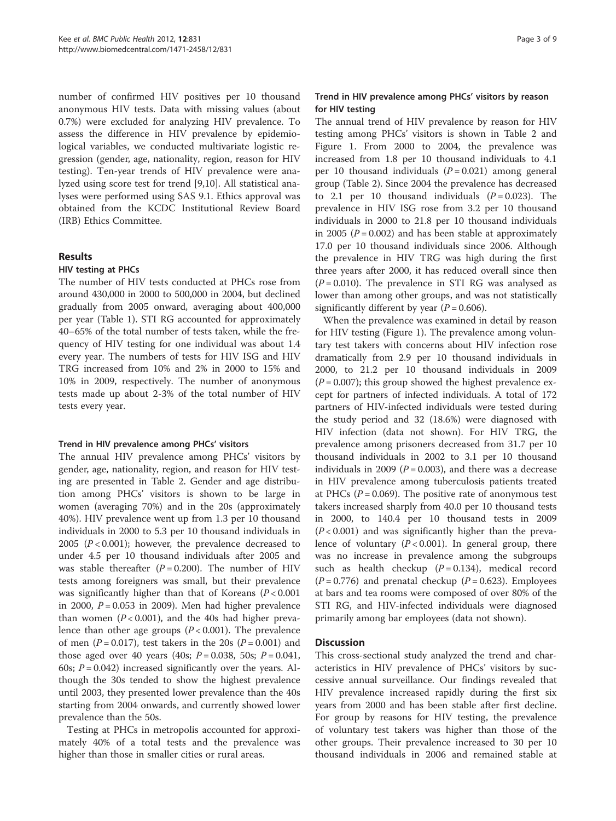number of confirmed HIV positives per 10 thousand anonymous HIV tests. Data with missing values (about 0.7%) were excluded for analyzing HIV prevalence. To assess the difference in HIV prevalence by epidemiological variables, we conducted multivariate logistic regression (gender, age, nationality, region, reason for HIV testing). Ten-year trends of HIV prevalence were analyzed using score test for trend [[9,10\]](#page-8-0). All statistical analyses were performed using SAS 9.1. Ethics approval was obtained from the KCDC Institutional Review Board (IRB) Ethics Committee.

# Results

#### HIV testing at PHCs

The number of HIV tests conducted at PHCs rose from around 430,000 in 2000 to 500,000 in 2004, but declined gradually from 2005 onward, averaging about 400,000 per year (Table [1\)](#page-3-0). STI RG accounted for approximately 40–65% of the total number of tests taken, while the frequency of HIV testing for one individual was about 1.4 every year. The numbers of tests for HIV ISG and HIV TRG increased from 10% and 2% in 2000 to 15% and 10% in 2009, respectively. The number of anonymous tests made up about 2-3% of the total number of HIV tests every year.

#### Trend in HIV prevalence among PHCs' visitors

The annual HIV prevalence among PHCs' visitors by gender, age, nationality, region, and reason for HIV testing are presented in Table [2.](#page-4-0) Gender and age distribution among PHCs' visitors is shown to be large in women (averaging 70%) and in the 20s (approximately 40%). HIV prevalence went up from 1.3 per 10 thousand individuals in 2000 to 5.3 per 10 thousand individuals in 2005 ( $P < 0.001$ ); however, the prevalence decreased to under 4.5 per 10 thousand individuals after 2005 and was stable thereafter  $(P = 0.200)$ . The number of HIV tests among foreigners was small, but their prevalence was significantly higher than that of Koreans  $(P < 0.001)$ in 2000,  $P = 0.053$  in 2009). Men had higher prevalence than women  $(P < 0.001)$ , and the 40s had higher prevalence than other age groups  $(P < 0.001)$ . The prevalence of men ( $P = 0.017$ ), test takers in the 20s ( $P = 0.001$ ) and those aged over 40 years (40s;  $P = 0.038$ , 50s;  $P = 0.041$ , 60s;  $P = 0.042$ ) increased significantly over the years. Although the 30s tended to show the highest prevalence until 2003, they presented lower prevalence than the 40s starting from 2004 onwards, and currently showed lower prevalence than the 50s.

Testing at PHCs in metropolis accounted for approximately 40% of a total tests and the prevalence was higher than those in smaller cities or rural areas.

# Trend in HIV prevalence among PHCs' visitors by reason for HIV testing

The annual trend of HIV prevalence by reason for HIV testing among PHCs' visitors is shown in Table [2](#page-4-0) and Figure [1.](#page-6-0) From 2000 to 2004, the prevalence was increased from 1.8 per 10 thousand individuals to 4.1 per 10 thousand individuals  $(P = 0.021)$  among general group (Table [2\)](#page-4-0). Since 2004 the prevalence has decreased to 2.1 per 10 thousand individuals  $(P = 0.023)$ . The prevalence in HIV ISG rose from 3.2 per 10 thousand individuals in 2000 to 21.8 per 10 thousand individuals in 2005 ( $P = 0.002$ ) and has been stable at approximately 17.0 per 10 thousand individuals since 2006. Although the prevalence in HIV TRG was high during the first three years after 2000, it has reduced overall since then  $(P = 0.010)$ . The prevalence in STI RG was analysed as lower than among other groups, and was not statistically significantly different by year ( $P = 0.606$ ).

When the prevalence was examined in detail by reason for HIV testing (Figure [1](#page-6-0)). The prevalence among voluntary test takers with concerns about HIV infection rose dramatically from 2.9 per 10 thousand individuals in 2000, to 21.2 per 10 thousand individuals in 2009  $(P = 0.007)$ ; this group showed the highest prevalence except for partners of infected individuals. A total of 172 partners of HIV-infected individuals were tested during the study period and 32 (18.6%) were diagnosed with HIV infection (data not shown). For HIV TRG, the prevalence among prisoners decreased from 31.7 per 10 thousand individuals in 2002 to 3.1 per 10 thousand individuals in 2009 ( $P = 0.003$ ), and there was a decrease in HIV prevalence among tuberculosis patients treated at PHCs ( $P = 0.069$ ). The positive rate of anonymous test takers increased sharply from 40.0 per 10 thousand tests in 2000, to 140.4 per 10 thousand tests in 2009  $(P<0.001)$  and was significantly higher than the prevalence of voluntary  $(P < 0.001)$ . In general group, there was no increase in prevalence among the subgroups such as health checkup  $(P = 0.134)$ , medical record  $(P = 0.776)$  and prenatal checkup  $(P = 0.623)$ . Employees at bars and tea rooms were composed of over 80% of the STI RG, and HIV-infected individuals were diagnosed primarily among bar employees (data not shown).

#### **Discussion**

This cross-sectional study analyzed the trend and characteristics in HIV prevalence of PHCs' visitors by successive annual surveillance. Our findings revealed that HIV prevalence increased rapidly during the first six years from 2000 and has been stable after first decline. For group by reasons for HIV testing, the prevalence of voluntary test takers was higher than those of the other groups. Their prevalence increased to 30 per 10 thousand individuals in 2006 and remained stable at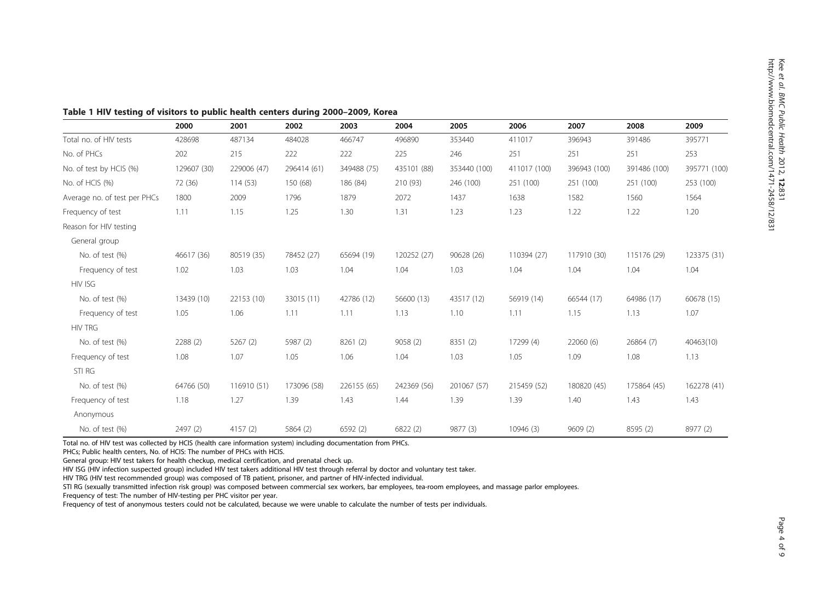<span id="page-3-0"></span>

|  |  |  | Table 1 HIV testing of visitors to public health centers during 2000-2009, Korea |
|--|--|--|----------------------------------------------------------------------------------|
|--|--|--|----------------------------------------------------------------------------------|

|                              | 2000        | 2001        | 2002        | 2003        | 2004        | 2005         | 2006         | 2007         | 2008         | 2009         |
|------------------------------|-------------|-------------|-------------|-------------|-------------|--------------|--------------|--------------|--------------|--------------|
| Total no. of HIV tests       | 428698      | 487134      | 484028      | 466747      | 496890      | 353440       | 411017       | 396943       | 391486       | 395771       |
| No. of PHCs                  | 202         | 215         | 222         | 222         | 225         | 246          | 251          | 251          | 251          | 253          |
| No. of test by HCIS (%)      | 129607 (30) | 229006 (47) | 296414 (61) | 349488 (75) | 435101 (88) | 353440 (100) | 411017 (100) | 396943 (100) | 391486 (100) | 395771 (100) |
| No. of HCIS (%)              | 72 (36)     | 114(53)     | 150 (68)    | 186 (84)    | 210 (93)    | 246 (100)    | 251 (100)    | 251 (100)    | 251 (100)    | 253 (100)    |
| Average no. of test per PHCs | 1800        | 2009        | 1796        | 1879        | 2072        | 1437         | 1638         | 1582         | 1560         | 1564         |
| Frequency of test            | 1.11        | 1.15        | 1.25        | 1.30        | 1.31        | 1.23         | 1.23         | 1.22         | 1.22         | 1.20         |
| Reason for HIV testing       |             |             |             |             |             |              |              |              |              |              |
| General group                |             |             |             |             |             |              |              |              |              |              |
| No. of test (%)              | 46617 (36)  | 80519 (35)  | 78452 (27)  | 65694 (19)  | 120252 (27) | 90628 (26)   | 110394 (27)  | 117910 (30)  | 115176 (29)  | 123375 (31)  |
| Frequency of test            | 1.02        | 1.03        | 1.03        | 1.04        | 1.04        | 1.03         | 1.04         | 1.04         | 1.04         | 1.04         |
| <b>HIV ISG</b>               |             |             |             |             |             |              |              |              |              |              |
| No. of test (%)              | 13439 (10)  | 22153 (10)  | 33015 (11)  | 42786 (12)  | 56600 (13)  | 43517 (12)   | 56919 (14)   | 66544 (17)   | 64986 (17)   | 60678 (15)   |
| Frequency of test            | 1.05        | 1.06        | 1.11        | 1.11        | 1.13        | 1.10         | 1.11         | 1.15         | 1.13         | 1.07         |
| <b>HIV TRG</b>               |             |             |             |             |             |              |              |              |              |              |
| No. of test (%)              | 2288 (2)    | 5267(2)     | 5987 (2)    | 8261 (2)    | 9058(2)     | 8351 (2)     | 17299 (4)    | 22060 (6)    | 26864(7)     | 40463(10)    |
| Frequency of test            | 1.08        | 1.07        | 1.05        | 1.06        | 1.04        | 1.03         | 1.05         | 1.09         | 1.08         | 1.13         |
| STI RG                       |             |             |             |             |             |              |              |              |              |              |
| No. of test (%)              | 64766 (50)  | 116910 (51) | 173096 (58) | 226155 (65) | 242369 (56) | 201067 (57)  | 215459 (52)  | 180820 (45)  | 175864 (45)  | 162278 (41)  |
| Frequency of test            | 1.18        | 1.27        | 1.39        | 1.43        | 1.44        | 1.39         | 1.39         | 1.40         | 1.43         | 1.43         |
| Anonymous                    |             |             |             |             |             |              |              |              |              |              |
| No. of test (%)              | 2497 (2)    | 4157(2)     | 5864 (2)    | 6592 (2)    | 6822 (2)    | 9877 (3)     | 10946 (3)    | 9609(2)      | 8595 (2)     | 8977 (2)     |

Total no. of HIV test was collected by HCIS (health care information system) including documentation from PHCs.

PHCs; Public health centers, No. of HCIS: The number of PHCs with HCIS.

General group: HIV test takers for health checkup, medical certification, and prenatal check up.

HIV ISG (HIV infection suspected group) included HIV test takers additional HIV test through referral by doctor and voluntary test taker.

HIV TRG (HIV test recommended group) was composed of TB patient, prisoner, and partner of HIV-infected individual.

STI RG (sexually transmitted infection risk group) was composed between commercial sex workers, bar employees, tea-room employees, and massage parlor employees.

Frequency of test: The number of HIV-testing per PHC visitor per year.

Frequency of test of anonymous testers could not be calculated, because we were unable to calculate the number of tests per individuals.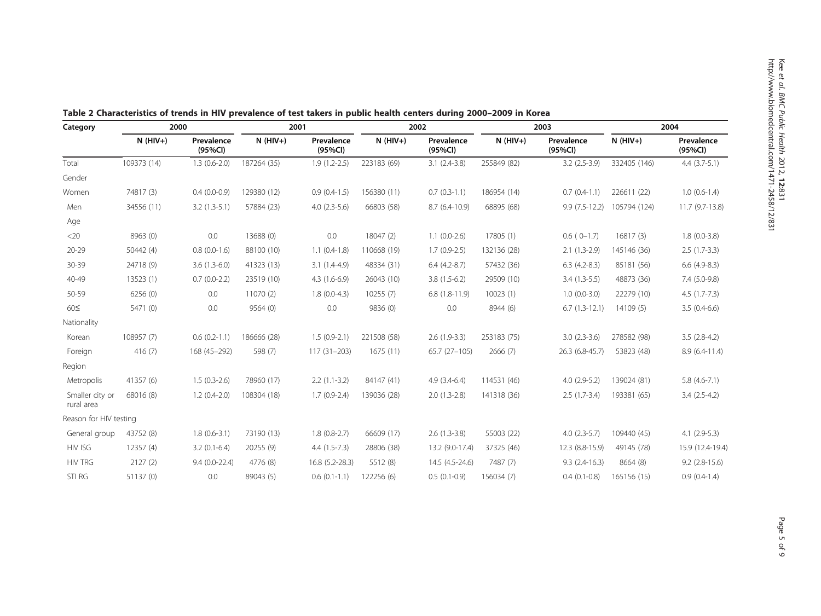| Category                      | 2000        |                       | 2001        |                       | 2002        |                       |             | 2003                  | 2004         |                       |
|-------------------------------|-------------|-----------------------|-------------|-----------------------|-------------|-----------------------|-------------|-----------------------|--------------|-----------------------|
|                               | $N$ (HIV+)  | Prevalence<br>(95%CI) | $N$ (HIV+)  | Prevalence<br>(95%CI) | $N$ (HIV+)  | Prevalence<br>(95%CI) | $N$ (HIV+)  | Prevalence<br>(95%CI) | $N$ (HIV+)   | Prevalence<br>(95%CI) |
| Total                         | 109373 (14) | $1.3(0.6-2.0)$        | 187264 (35) | $1.9(1.2-2.5)$        | 223183 (69) | $3.1(2.4-3.8)$        | 255849 (82) | $3.2$ (2.5-3.9)       | 332405 (146) | $4.4$ $(3.7-5.1)$     |
| Gender                        |             |                       |             |                       |             |                       |             |                       |              |                       |
| Women                         | 74817 (3)   | $0.4(0.0-0.9)$        | 129380 (12) | $0.9(0.4-1.5)$        | 156380 (11) | $0.7(0.3-1.1)$        | 186954 (14) | $0.7(0.4-1.1)$        | 226611 (22)  | $1.0(0.6-1.4)$        |
| Men                           | 34556 (11)  | $3.2(1.3-5.1)$        | 57884 (23)  | $4.0(2.3-5.6)$        | 66803 (58)  | $8.7(6.4-10.9)$       | 68895 (68)  | $9.9(7.5-12.2)$       | 105794 (124) | 11.7 (9.7-13.8)       |
| Age                           |             |                       |             |                       |             |                       |             |                       |              |                       |
| $<$ 20                        | 8963 (0)    | 0.0                   | 13688 (0)   | 0.0                   | 18047 (2)   | $1.1(0.0-2.6)$        | 17805 (1)   | $0.6(0-1.7)$          | 16817(3)     | $1.8(0.0-3.8)$        |
| $20 - 29$                     | 50442(4)    | $0.8(0.0-1.6)$        | 88100 (10)  | $1.1(0.4-1.8)$        | 110668 (19) | $1.7(0.9-2.5)$        | 132136 (28) | $2.1(1.3-2.9)$        | 145146 (36)  | $2.5(1.7-3.3)$        |
| 30-39                         | 24718 (9)   | $3.6(1.3-6.0)$        | 41323 (13)  | $3.1(1.4-4.9)$        | 48334 (31)  | $6.4(4.2-8.7)$        | 57432 (36)  | $6.3$ $(4.2-8.3)$     | 85181 (56)   | $6.6$ (4.9-8.3)       |
| 40-49                         | 13523 (1)   | $0.7(0.0-2.2)$        | 23519 (10)  | $4.3(1.6-6.9)$        | 26043 (10)  | $3.8(1.5-6.2)$        | 29509 (10)  | $3.4(1.3-5.5)$        | 48873 (36)   | 7.4 (5.0-9.8)         |
| 50-59                         | 6256 (0)    | 0.0                   | 11070 (2)   | $1.8(0.0-4.3)$        | 10255(7)    | $6.8(1.8-11.9)$       | 10023(1)    | $1.0(0.0-3.0)$        | 22279 (10)   | $4.5(1.7-7.3)$        |
| $60\leq$                      | 5471 (0)    | 0.0                   | 9564(0)     | 0.0                   | 9836 (0)    | 0.0                   | 8944 (6)    | $6.7(1.3-12.1)$       | 14109(5)     | $3.5(0.4-6.6)$        |
| Nationality                   |             |                       |             |                       |             |                       |             |                       |              |                       |
| Korean                        | 108957 (7)  | $0.6(0.2-1.1)$        | 186666 (28) | $1.5(0.9-2.1)$        | 221508 (58) | $2.6(1.9-3.3)$        | 253183 (75) | $3.0(2.3-3.6)$        | 278582 (98)  | $3.5(2.8-4.2)$        |
| Foreign                       | 416(7)      | 168 (45-292)          | 598 (7)     | $117(31 - 203)$       | 1675(11)    | 65.7 (27-105)         | 2666(7)     | 26.3 (6.8-45.7)       | 53823 (48)   | $8.9(6.4-11.4)$       |
| Region                        |             |                       |             |                       |             |                       |             |                       |              |                       |
| Metropolis                    | 41357 (6)   | $1.5(0.3-2.6)$        | 78960 (17)  | $2.2(1.1-3.2)$        | 84147 (41)  | $4.9(3.4-6.4)$        | 114531 (46) | $4.0(2.9-5.2)$        | 139024 (81)  | $5.8(4.6-7.1)$        |
| Smaller city or<br>rural area | 68016 (8)   | $1.2(0.4-2.0)$        | 108304 (18) | $1.7(0.9-2.4)$        | 139036 (28) | $2.0(1.3-2.8)$        | 141318 (36) | $2.5(1.7-3.4)$        | 193381 (65)  | $3.4(2.5-4.2)$        |
| Reason for HIV testing        |             |                       |             |                       |             |                       |             |                       |              |                       |
| General group                 | 43752 (8)   | $1.8(0.6-3.1)$        | 73190 (13)  | $1.8(0.8-2.7)$        | 66609 (17)  | $2.6(1.3-3.8)$        | 55003 (22)  | $4.0(2.3-5.7)$        | 109440 (45)  | $4.1(2.9-5.3)$        |
| HIV ISG                       | 12357(4)    | $3.2(0.1-6.4)$        | 20255 (9)   | $4.4(1.5-7.3)$        | 28806 (38)  | 13.2 (9.0-17.4)       | 37325 (46)  | 12.3 (8.8-15.9)       | 49145 (78)   | 15.9 (12.4-19.4)      |
| <b>HIV TRG</b>                | 2127(2)     | $9.4(0.0-22.4)$       | 4776 (8)    | 16.8 (5.2-28.3)       | 5512 (8)    | 14.5 (4.5-24.6)       | 7487 (7)    | $9.3(2.4-16.3)$       | 8664 (8)     | $9.2$ (2.8-15.6)      |
| STI RG                        | 51137 (0)   | 0.0                   | 89043 (5)   | $0.6(0.1-1.1)$        | 122256 (6)  | $0.5(0.1-0.9)$        | 156034 (7)  | $0.4(0.1-0.8)$        | 165156 (15)  | $0.9(0.4-1.4)$        |
|                               |             |                       |             |                       |             |                       |             |                       |              |                       |

<span id="page-4-0"></span>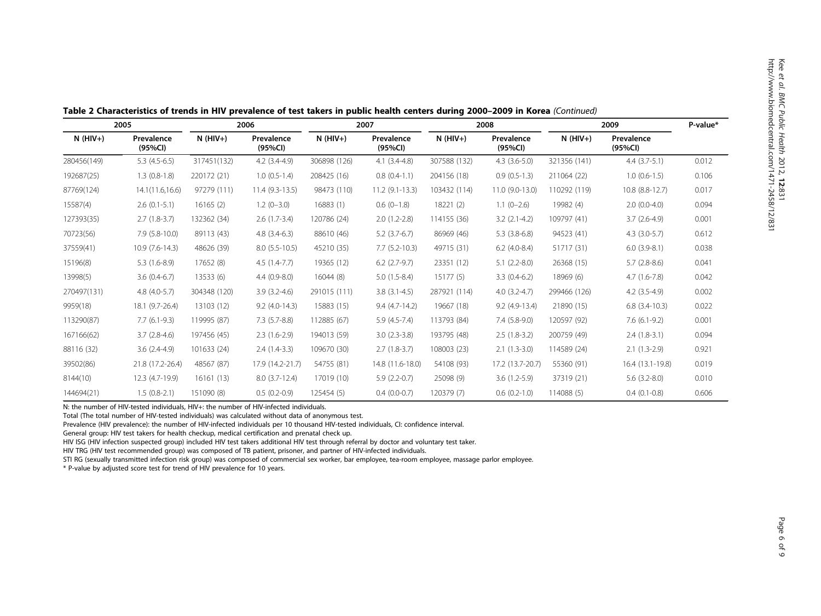| 2005        |                       | 2006         |                       | 2007         |                       | 2008         |                       | 2009         |                       | P-value* |
|-------------|-----------------------|--------------|-----------------------|--------------|-----------------------|--------------|-----------------------|--------------|-----------------------|----------|
| $N$ (HIV+)  | Prevalence<br>(95%CI) | $N$ (HIV+)   | Prevalence<br>(95%Cl) | $N$ (HIV+)   | Prevalence<br>(95%CI) | $N$ (HIV+)   | Prevalence<br>(95%CI) | $N$ (HIV+)   | Prevalence<br>(95%CI) |          |
| 280456(149) | $5.3(4.5-6.5)$        | 317451(132)  | $4.2(3.4-4.9)$        | 306898 (126) | $4.1(3.4-4.8)$        | 307588 (132) | $4.3(3.6-5.0)$        | 321356 (141) | $4.4(3.7-5.1)$        | 0.012    |
| 192687(25)  | $1.3(0.8-1.8)$        | 220172 (21)  | $1.0(0.5-1.4)$        | 208425 (16)  | $0.8(0.4-1.1)$        | 204156 (18)  | $0.9(0.5-1.3)$        | 211064 (22)  | $1.0(0.6-1.5)$        | 0.106    |
| 87769(124)  | 14.1(11.6,16.6)       | 97279 (111)  | $11.4(9.3-13.5)$      | 98473 (110)  | $11.2(9.1-13.3)$      | 103432 (114) | 11.0 (9.0-13.0)       | 110292 (119) | 10.8 (8.8-12.7)       | 0.017    |
| 15587(4)    | $2.6(0.1-5.1)$        | 16165(2)     | $1.2(0-3.0)$          | 16883 (1)    | $0.6(0-1.8)$          | 18221(2)     | $1.1(0-2.6)$          | 19982 (4)    | $2.0(0.0-4.0)$        | 0.094    |
| 127393(35)  | $2.7(1.8-3.7)$        | 132362 (34)  | $2.6(1.7-3.4)$        | 120786 (24)  | $2.0(1.2-2.8)$        | 114155 (36)  | $3.2$ (2.1-4.2)       | 109797 (41)  | $3.7(2.6-4.9)$        | 0.001    |
| 70723(56)   | $7.9(5.8-10.0)$       | 89113 (43)   | $4.8(3.4-6.3)$        | 88610 (46)   | $5.2$ (3.7-6.7)       | 86969 (46)   | $5.3(3.8-6.8)$        | 94523 (41)   | $4.3(3.0-5.7)$        | 0.612    |
| 37559(41)   | $10.9(7.6-14.3)$      | 48626 (39)   | $8.0(5.5-10.5)$       | 45210 (35)   | $7.7(5.2-10.3)$       | 49715 (31)   | $6.2$ (4.0-8.4)       | 51717 (31)   | $6.0$ $(3.9-8.1)$     | 0.038    |
| 15196(8)    | $5.3(1.6-8.9)$        | 17652 (8)    | $4.5(1.4-7.7)$        | 19365 (12)   | $6.2$ $(2.7-9.7)$     | 23351 (12)   | $5.1(2.2-8.0)$        | 26368 (15)   | $5.7(2.8-8.6)$        | 0.041    |
| 13998(5)    | $3.6(0.4-6.7)$        | 13533 (6)    | $4.4(0.9-8.0)$        | 16044(8)     | $5.0(1.5-8.4)$        | 15177(5)     | $3.3(0.4-6.2)$        | 18969 (6)    | $4.7(1.6-7.8)$        | 0.042    |
| 270497(131) | $4.8(4.0-5.7)$        | 304348 (120) | $3.9(3.2-4.6)$        | 291015 (111) | $3.8(3.1-4.5)$        | 287921 (114) | $4.0(3.2-4.7)$        | 299466 (126) | $4.2(3.5-4.9)$        | 0.002    |
| 9959(18)    | 18.1 (9.7-26.4)       | 13103 (12)   | $9.2(4.0-14.3)$       | 15883 (15)   | $9.4(4.7-14.2)$       | 19667 (18)   | $9.2(4.9-13.4)$       | 21890 (15)   | $6.8$ $(3.4 - 10.3)$  | 0.022    |
| 113290(87)  | $7.7(6.1-9.3)$        | 119995 (87)  | $7.3(5.7-8.8)$        | 112885 (67)  | $5.9(4.5-7.4)$        | 113793 (84)  | $7.4(5.8-9.0)$        | 120597 (92)  | $7.6(6.1-9.2)$        | 0.001    |
| 167166(62)  | $3.7(2.8-4.6)$        | 197456 (45)  | $2.3(1.6-2.9)$        | 194013 (59)  | $3.0(2.3-3.8)$        | 193795 (48)  | $2.5(1.8-3.2)$        | 200759 (49)  | $2.4(1.8-3.1)$        | 0.094    |
| 88116 (32)  | $3.6(2.4-4.9)$        | 101633 (24)  | $2.4(1.4-3.3)$        | 109670 (30)  | $2.7(1.8-3.7)$        | 108003 (23)  | $2.1(1.3-3.0)$        | 114589 (24)  | $2.1(1.3-2.9)$        | 0.921    |
| 39502(86)   | 21.8 (17.2-26.4)      | 48567 (87)   | 17.9 (14.2-21.7)      | 54755 (81)   | 14.8 (11.6-18.0)      | 54108 (93)   | 17.2 (13.7-20.7)      | 55360 (91)   | 16.4 (13.1-19.8)      | 0.019    |
| 8144(10)    | 12.3 (4.7-19.9)       | 16161 (13)   | $8.0(3.7-12.4)$       | 17019 (10)   | $5.9(2.2-0.7)$        | 25098 (9)    | $3.6(1.2-5.9)$        | 37319 (21)   | $5.6(3.2-8.0)$        | 0.010    |
| 144694(21)  | $1.5(0.8-2.1)$        | 151090 (8)   | $0.5(0.2-0.9)$        | 125454 (5)   | $0.4(0.0-0.7)$        | 120379 (7)   | $0.6(0.2-1.0)$        | 114088 (5)   | $0.4(0.1-0.8)$        | 0.606    |

Table 2 Characteristics of trends in HIV prevalence of test takers in public health centers during 2000–2009 in Korea (Continued)

N: the number of HIV-tested individuals, HIV+: the number of HIV-infected individuals.

Total (The total number of HIV-tested individuals) was calculated without data of anonymous test.

Prevalence (HIV prevalence): the number of HIV-infected individuals per 10 thousand HIV-tested individuals, CI: confidence interval.

General group: HIV test takers for health checkup, medical certification and prenatal check up.

HIV ISG (HIV infection suspected group) included HIV test takers additional HIV test through referral by doctor and voluntary test taker.

HIV TRG (HIV test recommended group) was composed of TB patient, prisoner, and partner of HIV-infected individuals.

STI RG (sexually transmitted infection risk group) was composed of commercial sex worker, bar employee, tea-room employee, massage parlor employee.

\* P-value by adjusted score test for trend of HIV prevalence for 10 years.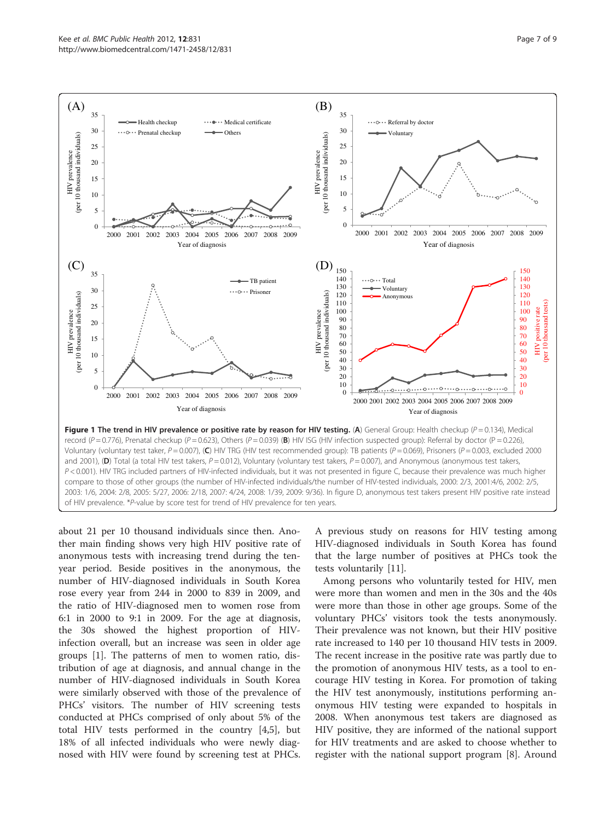<span id="page-6-0"></span>

about 21 per 10 thousand individuals since then. Another main finding shows very high HIV positive rate of anonymous tests with increasing trend during the tenyear period. Beside positives in the anonymous, the number of HIV-diagnosed individuals in South Korea rose every year from 244 in 2000 to 839 in 2009, and the ratio of HIV-diagnosed men to women rose from 6:1 in 2000 to 9:1 in 2009. For the age at diagnosis, the 30s showed the highest proportion of HIVinfection overall, but an increase was seen in older age groups [\[1](#page-8-0)]. The patterns of men to women ratio, distribution of age at diagnosis, and annual change in the number of HIV-diagnosed individuals in South Korea were similarly observed with those of the prevalence of PHCs' visitors. The number of HIV screening tests conducted at PHCs comprised of only about 5% of the total HIV tests performed in the country [\[4,5](#page-8-0)], but 18% of all infected individuals who were newly diagnosed with HIV were found by screening test at PHCs. A previous study on reasons for HIV testing among HIV-diagnosed individuals in South Korea has found that the large number of positives at PHCs took the tests voluntarily [[11\]](#page-8-0).

Among persons who voluntarily tested for HIV, men were more than women and men in the 30s and the 40s were more than those in other age groups. Some of the voluntary PHCs' visitors took the tests anonymously. Their prevalence was not known, but their HIV positive rate increased to 140 per 10 thousand HIV tests in 2009. The recent increase in the positive rate was partly due to the promotion of anonymous HIV tests, as a tool to encourage HIV testing in Korea. For promotion of taking the HIV test anonymously, institutions performing anonymous HIV testing were expanded to hospitals in 2008. When anonymous test takers are diagnosed as HIV positive, they are informed of the national support for HIV treatments and are asked to choose whether to register with the national support program [[8\]](#page-8-0). Around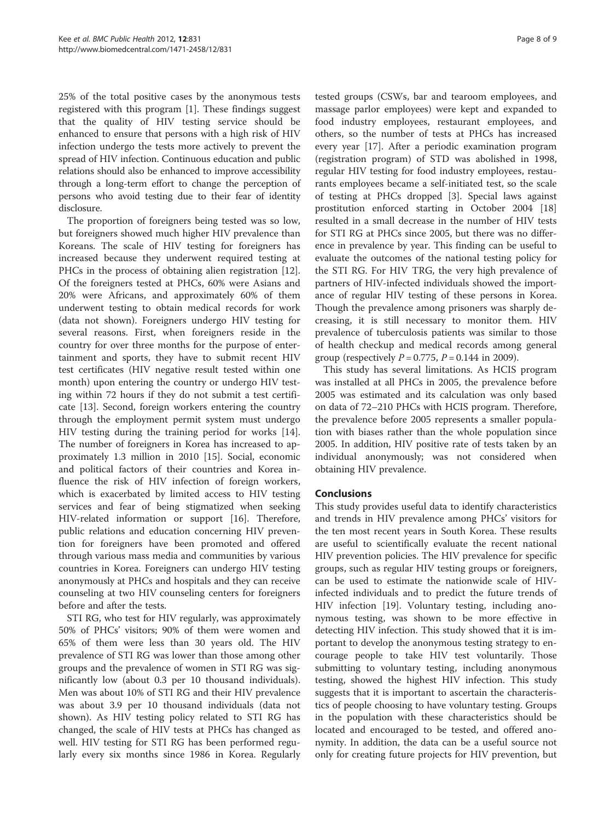25% of the total positive cases by the anonymous tests registered with this program [\[1](#page-8-0)]. These findings suggest that the quality of HIV testing service should be enhanced to ensure that persons with a high risk of HIV infection undergo the tests more actively to prevent the spread of HIV infection. Continuous education and public relations should also be enhanced to improve accessibility through a long-term effort to change the perception of persons who avoid testing due to their fear of identity disclosure.

The proportion of foreigners being tested was so low, but foreigners showed much higher HIV prevalence than Koreans. The scale of HIV testing for foreigners has increased because they underwent required testing at PHCs in the process of obtaining alien registration [\[12](#page-8-0)]. Of the foreigners tested at PHCs, 60% were Asians and 20% were Africans, and approximately 60% of them underwent testing to obtain medical records for work (data not shown). Foreigners undergo HIV testing for several reasons. First, when foreigners reside in the country for over three months for the purpose of entertainment and sports, they have to submit recent HIV test certificates (HIV negative result tested within one month) upon entering the country or undergo HIV testing within 72 hours if they do not submit a test certificate [\[13](#page-8-0)]. Second, foreign workers entering the country through the employment permit system must undergo HIV testing during the training period for works [\[14](#page-8-0)]. The number of foreigners in Korea has increased to approximately 1.3 million in 2010 [\[15](#page-8-0)]. Social, economic and political factors of their countries and Korea influence the risk of HIV infection of foreign workers, which is exacerbated by limited access to HIV testing services and fear of being stigmatized when seeking HIV-related information or support [[16\]](#page-8-0). Therefore, public relations and education concerning HIV prevention for foreigners have been promoted and offered through various mass media and communities by various countries in Korea. Foreigners can undergo HIV testing anonymously at PHCs and hospitals and they can receive counseling at two HIV counseling centers for foreigners before and after the tests.

STI RG, who test for HIV regularly, was approximately 50% of PHCs' visitors; 90% of them were women and 65% of them were less than 30 years old. The HIV prevalence of STI RG was lower than those among other groups and the prevalence of women in STI RG was significantly low (about 0.3 per 10 thousand individuals). Men was about 10% of STI RG and their HIV prevalence was about 3.9 per 10 thousand individuals (data not shown). As HIV testing policy related to STI RG has changed, the scale of HIV tests at PHCs has changed as well. HIV testing for STI RG has been performed regularly every six months since 1986 in Korea. Regularly

tested groups (CSWs, bar and tearoom employees, and massage parlor employees) were kept and expanded to food industry employees, restaurant employees, and others, so the number of tests at PHCs has increased every year [[17\]](#page-8-0). After a periodic examination program (registration program) of STD was abolished in 1998, regular HIV testing for food industry employees, restaurants employees became a self-initiated test, so the scale of testing at PHCs dropped [[3\]](#page-8-0). Special laws against prostitution enforced starting in October 2004 [[18](#page-8-0)] resulted in a small decrease in the number of HIV tests for STI RG at PHCs since 2005, but there was no difference in prevalence by year. This finding can be useful to evaluate the outcomes of the national testing policy for the STI RG. For HIV TRG, the very high prevalence of partners of HIV-infected individuals showed the importance of regular HIV testing of these persons in Korea. Though the prevalence among prisoners was sharply decreasing, it is still necessary to monitor them. HIV prevalence of tuberculosis patients was similar to those of health checkup and medical records among general group (respectively  $P = 0.775$ ,  $P = 0.144$  in 2009).

This study has several limitations. As HCIS program was installed at all PHCs in 2005, the prevalence before 2005 was estimated and its calculation was only based on data of 72–210 PHCs with HCIS program. Therefore, the prevalence before 2005 represents a smaller population with biases rather than the whole population since 2005. In addition, HIV positive rate of tests taken by an individual anonymously; was not considered when obtaining HIV prevalence.

# Conclusions

This study provides useful data to identify characteristics and trends in HIV prevalence among PHCs' visitors for the ten most recent years in South Korea. These results are useful to scientifically evaluate the recent national HIV prevention policies. The HIV prevalence for specific groups, such as regular HIV testing groups or foreigners, can be used to estimate the nationwide scale of HIVinfected individuals and to predict the future trends of HIV infection [\[19\]](#page-8-0). Voluntary testing, including anonymous testing, was shown to be more effective in detecting HIV infection. This study showed that it is important to develop the anonymous testing strategy to encourage people to take HIV test voluntarily. Those submitting to voluntary testing, including anonymous testing, showed the highest HIV infection. This study suggests that it is important to ascertain the characteristics of people choosing to have voluntary testing. Groups in the population with these characteristics should be located and encouraged to be tested, and offered anonymity. In addition, the data can be a useful source not only for creating future projects for HIV prevention, but